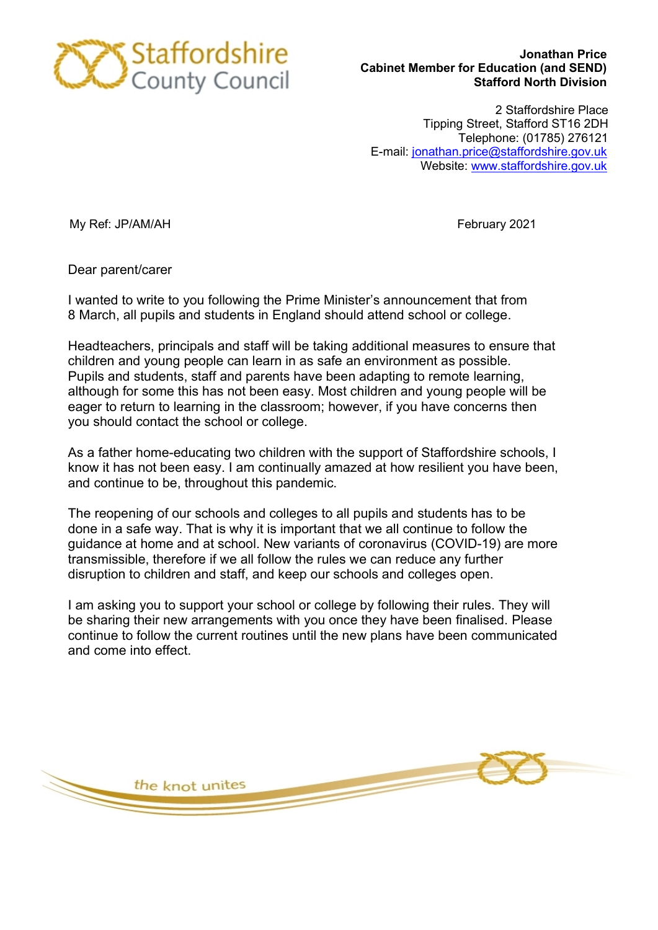

## Jonathan Price Cabinet Member for Education (and SEND) Stafford North Division

2 Staffordshire Place Tipping Street, Stafford ST16 2DH Telephone: (01785) 276121 E-mail: jonathan.price@staffordshire.gov.uk Website: www.staffordshire.gov.uk

My Ref: JP/AM/AH February 2021

Dear parent/carer

I wanted to write to you following the Prime Minister's announcement that from 8 March, all pupils and students in England should attend school or college.

Headteachers, principals and staff will be taking additional measures to ensure that children and young people can learn in as safe an environment as possible. Pupils and students, staff and parents have been adapting to remote learning, although for some this has not been easy. Most children and young people will be eager to return to learning in the classroom; however, if you have concerns then you should contact the school or college.

As a father home-educating two children with the support of Staffordshire schools, I know it has not been easy. I am continually amazed at how resilient you have been, and continue to be, throughout this pandemic.

The reopening of our schools and colleges to all pupils and students has to be done in a safe way. That is why it is important that we all continue to follow the guidance at home and at school. New variants of coronavirus (COVID-19) are more transmissible, therefore if we all follow the rules we can reduce any further disruption to children and staff, and keep our schools and colleges open.

I am asking you to support your school or college by following their rules. They will be sharing their new arrangements with you once they have been finalised. Please continue to follow the current routines until the new plans have been communicated and come into effect.